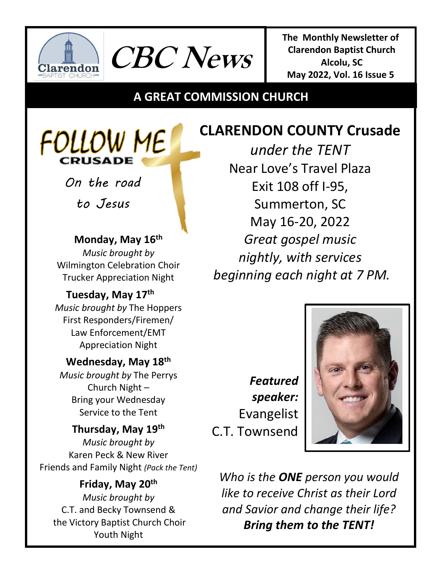

**CBC News**

**The Monthly Newsletter of Clarendon Baptist Church Alcolu, SC May 2022, Vol. 16 Issue 5** 

#### *[www.clarendonbaptist.org](http://www.clarendonbaptist.org/)* **A GREAT COMMISSION CHURCH**

FOLLOW ME

*On the road* 

*to Jesus*

**Monday, May 16th** *Music brought by*  Wilmington Celebration Choir Trucker Appreciation Night

# **Tuesday, May 17th**

*Music brought by* The Hoppers First Responders/Firemen/ Law Enforcement/EMT Appreciation Night

# **Wednesday, May 18th**

*Music brought by* The Perrys Church Night – Bring your Wednesday Service to the Tent

**Thursday, May 19th**  *Music brought by* Karen Peck & New River Friends and Family Night *(Pack the Tent)*

**Friday, May 20th**  *Music brought by* C.T. and Becky Townsend & the Victory Baptist Church Choir Youth Night

# **CLARENDON COUNTY Crusade**

*under the TENT* Near Love's Travel Plaza Exit 108 off I-95, Summerton, SC May 16-20, 2022 *Great gospel music nightly, with services beginning each night at 7 PM.*

*Featured speaker:* Evangelist C.T. Townsend



*Who is the ONE person you would like to receive Christ as their Lord and Savior and change their life? Bring them to the TENT!*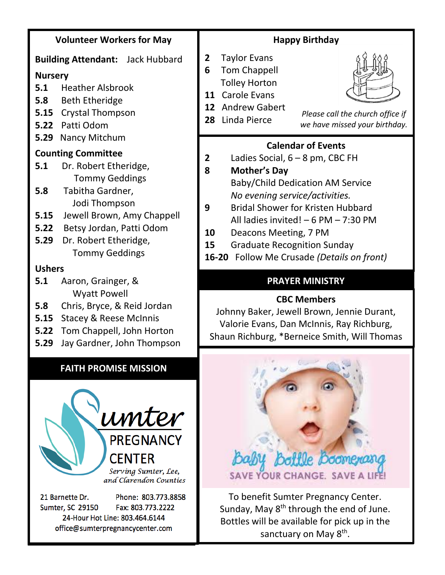| <b>Volunteer Workers for May</b>                                                                                                                                                                                                                                                            | <b>Happy Birthday</b>                                                                                                                                                                                                                                                                                                                                                                     |
|---------------------------------------------------------------------------------------------------------------------------------------------------------------------------------------------------------------------------------------------------------------------------------------------|-------------------------------------------------------------------------------------------------------------------------------------------------------------------------------------------------------------------------------------------------------------------------------------------------------------------------------------------------------------------------------------------|
| <b>Building Attendant:</b><br>Jack Hubbard<br><b>Nursery</b><br><b>Heather Alsbrook</b><br>5.1<br>5.8<br><b>Beth Etheridge</b><br>5.15<br><b>Crystal Thompson</b><br>5.22<br>Patti Odom                                                                                                     | <b>Taylor Evans</b><br>2<br>6<br><b>Tom Chappell</b><br><b>Tolley Horton</b><br><b>Carole Evans</b><br>11<br>12<br><b>Andrew Gabert</b><br>Please call the church office if<br>Linda Pierce<br>28<br>we have missed your birthday.                                                                                                                                                        |
| 5.29<br>Nancy Mitchum<br><b>Counting Committee</b><br>5.1<br>Dr. Robert Etheridge,<br><b>Tommy Geddings</b><br>Tabitha Gardner,<br>5.8<br>Jodi Thompson<br>5.15<br>Jewell Brown, Amy Chappell<br>5.22<br>Betsy Jordan, Patti Odom<br>5.29<br>Dr. Robert Etheridge,<br><b>Tommy Geddings</b> | <b>Calendar of Events</b><br>Ladies Social, $6 - 8$ pm, CBC FH<br>2<br>8<br><b>Mother's Day</b><br>Baby/Child Dedication AM Service<br>No evening service/activities.<br>9<br><b>Bridal Shower for Kristen Hubbard</b><br>All ladies invited! $-6$ PM $-7:30$ PM<br>10<br>Deacons Meeting, 7 PM<br>15<br><b>Graduate Recognition Sunday</b><br>16-20 Follow Me Crusade (Details on front) |
| <b>Ushers</b><br>5.1<br>Aaron, Grainger, &                                                                                                                                                                                                                                                  | <b>PRAYER MINISTRY</b>                                                                                                                                                                                                                                                                                                                                                                    |
| <b>Wyatt Powell</b><br>5.8<br>Chris, Bryce, & Reid Jordan<br><b>Stacey &amp; Reese McInnis</b><br>5.15<br>5.22<br>Tom Chappell, John Horton<br>5.29<br>Jay Gardner, John Thompson                                                                                                           | <b>CBC Members</b><br>Johnny Baker, Jewell Brown, Jennie Durant,<br>Valorie Evans, Dan McInnis, Ray Richburg,<br>Shaun Richburg, *Berneice Smith, Will Thomas                                                                                                                                                                                                                             |
| <b>FAITH PROMISE MISSION</b><br>umter<br><b>PREGNANCY</b><br><b>CENTER</b><br>Serving Sumter, Lee,<br>and Clarendon Counties                                                                                                                                                                | Baby Bottle Boomerang<br>SAVE YOUR CHANGE. SAVE A LIFE!                                                                                                                                                                                                                                                                                                                                   |

21 Barnette Dr.

Sumter, SC 29150

Phone: 803.773.8858

Fax: 803.773.2222

24-Hour Hot Line: 803.464.6144 office@sumterpregnancycenter.com

To benefit Sumter Pregnancy Center. Sunday, May 8<sup>th</sup> through the end of June. Bottles will be available for pick up in the sanctuary on May 8<sup>th</sup>.